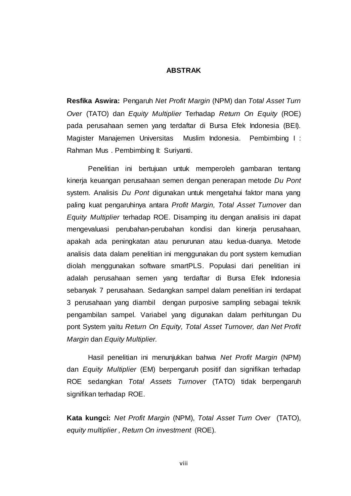## **ABSTRAK**

**Resfika Aswira:** Pengaruh *Net Profit Margin* (NPM) dan *Total Asset Turn Over* (TATO) dan *Equity Multiplier* Terhadap *Return On Equity* (ROE) pada perusahaan semen yang terdaftar di Bursa Efek Indonesia (BEI). Magister Manajemen Universitas Muslim Indonesia. Pembimbing I : Rahman Mus . Pembimbing II: Suriyanti.

Penelitian ini bertujuan untuk memperoleh gambaran tentang kinerja keuangan perusahaan semen dengan penerapan metode *Du Pont* system. Analisis *Du Pont* digunakan untuk mengetahui faktor mana yang paling kuat pengaruhinya antara *Profit Margin, Total Asset Turnover* dan *Equity Multiplier* terhadap ROE. Disamping itu dengan analisis ini dapat mengevaluasi perubahan-perubahan kondisi dan kinerja perusahaan, apakah ada peningkatan atau penurunan atau kedua-duanya. Metode analisis data dalam penelitian ini menggunakan du pont system kemudian diolah menggunakan software smartPLS. Populasi dari penelitian ini adalah perusahaan semen yang terdaftar di Bursa Efek Indonesia sebanyak 7 perusahaan. Sedangkan sampel dalam penelitian ini terdapat 3 perusahaan yang diambil dengan purposive sampling sebagai teknik pengambilan sampel. Variabel yang digunakan dalam perhitungan Du pont System yaitu *Return On Equity, Total Asset Turnover, dan Net Profit Margin* dan *Equity Multiplier.* 

Hasil penelitian ini menunjukkan bahwa *Net Profit Margin* (NPM) dan *Equity Multiplier* (EM) berpengaruh positif dan signifikan terhadap ROE sedangkan *Total Assets Turnover* (TATO) tidak berpengaruh signifikan terhadap ROE.

**Kata kungci:** *Net Profit Margin* (NPM), *Total Asset Turn Over* (TATO), *equity multiplier , Return On investment* (ROE).